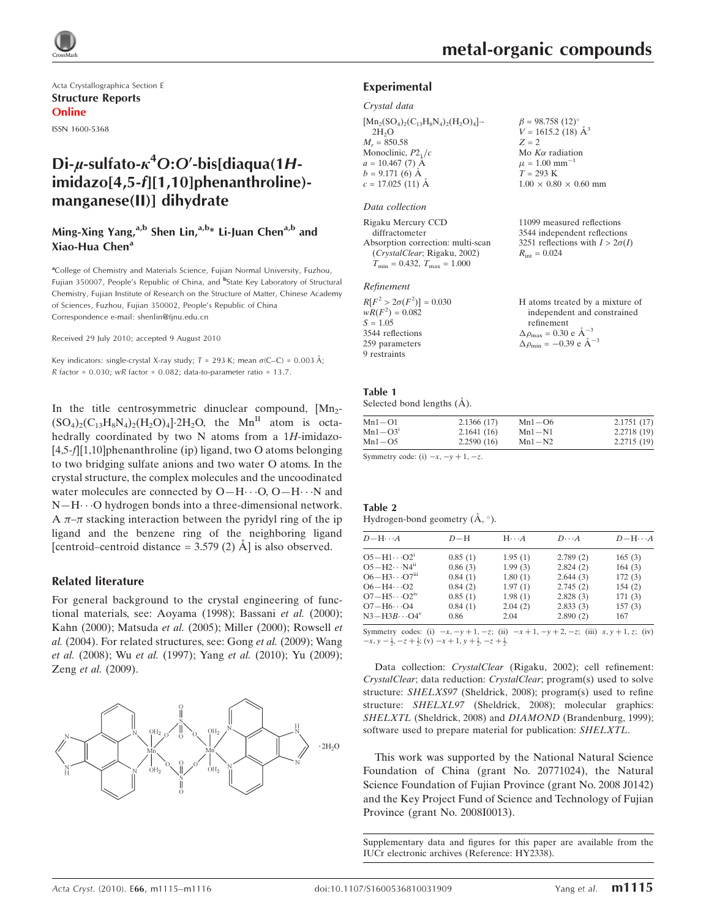

Acta Crystallographica Section E Structure Reports Online

ISSN 1600-5368

## Di-µ-sulfato- $\kappa^4$ O:O'-bis[diaqua(1Himidazo[4,5-f][1,10]phenanthroline)manganese(II)] dihydrate

## Ming-Xing Yang,<sup>a,b</sup> Shen Lin,<sup>a,b\*</sup> Li-Juan Chen<sup>a,b</sup> and Xiao-Hua Chen<sup>a</sup>

<sup>a</sup>College of Chemistry and Materials Science, Fujian Normal University, Fuzhou, Fujian 350007, People's Republic of China, and <sup>b</sup>State Key Laboratory of Structural Chemistry, Fujian Institute of Research on the Structure of Matter, Chinese Academy of Sciences, Fuzhou, Fujian 350002, People's Republic of China Correspondence e-mail: shenlin@fjnu.edu.cn

Received 29 July 2010; accepted 9 August 2010

Key indicators: single-crystal X-ray study;  $T = 293$  K; mean  $\sigma$ (C–C) = 0.003 Å;  $R$  factor = 0.030;  $wR$  factor = 0.082; data-to-parameter ratio = 13.7.

In the title centrosymmetric dinuclear compound,  $[Mn<sub>2</sub> (SO_4)_2(C_{13}H_8N_4)_2(H_2O)_4$ . 2H<sub>2</sub>O, the Mn<sup>II</sup> atom is octahedrally coordinated by two N atoms from a  $1H$ -imidazo-[4,5-f][1,10]phenanthroline (ip) ligand, two O atoms belonging to two bridging sulfate anions and two water O atoms. In the crystal structure, the complex molecules and the uncoodinated water molecules are connected by  $O-H\cdots O$ ,  $O-H\cdots N$  and N-H··· O hydrogen bonds into a three-dimensional network. A  $\pi$ - $\pi$  stacking interaction between the pyridyl ring of the ip ligand and the benzene ring of the neighboring ligand [centroid–centroid distance =  $3.579$  (2)  $\AA$ ] is also observed.

#### Related literature

For general background to the crystal engineering of functional materials, see: Aoyama (1998); Bassani et al. (2000); Kahn (2000); Matsuda et al. (2005); Miller (2000); Rowsell et al. (2004). For related structures, see: Gong et al. (2009); Wang et al. (2008); Wu et al. (1997); Yang et al. (2010); Yu (2009); Zeng et al. (2009).



11099 measured reflections 3544 independent reflections 3251 reflections with  $I > 2\sigma(I)$ 

 $R_{\text{int}} = 0.024$ 

#### Experimental

#### Crystal data

 $[Mn_2(SO_4)_2(C_{13}H_8N_4)_2(H_2O)_4]$  $2H<sub>2</sub>O$  $M_r = 850.58$ Monoclinic,  $P2<sub>1</sub>/c$  $a = 10.467$  (7) Å  $b = 9.171(6)$  Å  $c = 17.025(11)$  Å  $\beta = 98.758$  (12)<sup>o</sup>  $V = 1615.2$  (18)  $\AA^3$  $Z = 2$ Mo  $K\alpha$  radiation  $\mu = 1.00$  mm<sup>-1</sup>  $T = 293$  K  $1.00 \times 0.80 \times 0.60$  mm

#### Data collection

Rigaku Mercury CCD diffractometer Absorption correction: multi-scan (CrystalClear; Rigaku, 2002)  $T_{\text{min}} = 0.432, T_{\text{max}} = 1.000$ 

#### Refinement

| $R[F^2 > 2\sigma(F^2)] = 0.030$ | H atoms treated by a mixture of                    |
|---------------------------------|----------------------------------------------------|
| $wR(F^2) = 0.082$               | independent and constrained                        |
| $S = 1.05$                      | refinement                                         |
| 3544 reflections                | $\Delta \rho_{\text{max}} = 0.30 \text{ e A}^{-3}$ |
| 259 parameters                  | $\Delta \rho_{\text{min}} = -0.39$ e $\AA^{-3}$    |
| 9 restraints                    |                                                    |

### Table 1

Selected bond lengths  $(A)$ .

| $Mn1 - O1$  | 2.1366(17) | $Mn1 - O6$ | 2.1751(17) |
|-------------|------------|------------|------------|
| $Mn1 - O31$ | 2.1641(16) | $Mn1-N1$   | 2.2718(19) |
| $Mn1 - O5$  | 2.2590(16) | $Mn1-N2$   | 2.2715(19) |
|             |            |            |            |

Symmetry code: (i)  $-x$ ,  $-y + 1$ ,  $-z$ .

| Table 2                                       |  |  |
|-----------------------------------------------|--|--|
| Hydrogen-bond geometry $(\dot{A}, \degree)$ . |  |  |

| $D - H \cdots A$                   | $D-H$   | $H \cdot \cdot \cdot A$ | $D\cdots A$ | $D - H \cdots A$ |
|------------------------------------|---------|-------------------------|-------------|------------------|
| $O5 - H1 \cdots O2^1$              | 0.85(1) | 1.95(1)                 | 2.789(2)    | 165(3)           |
| $O5-H2\cdots N4^{ii}$              | 0.86(3) | 1.99(3)                 | 2.824(2)    | 164(3)           |
| $O6 - H3 \cdots O7$ <sup>iii</sup> | 0.84(1) | 1.80(1)                 | 2.644(3)    | 172(3)           |
| $O6 - H4 \cdots O2$                | 0.84(2) | 1.97(1)                 | 2.745(2)    | 154(2)           |
| $O7 - H5 \cdots O2$ <sup>1V</sup>  | 0.85(1) | 1.98(1)                 | 2.828(3)    | 171(3)           |
| $O7 - H6 \cdots O4$                | 0.84(1) | 2.04(2)                 | 2.833(3)    | 157(3)           |
| $N3-H3B\cdots O4^V$                | 0.86    | 2.04                    | 2.890(2)    | 167              |

Symmetry codes: (i)  $-x, -y + 1, -z$ ; (ii)  $-x + 1, -y + 2, -z$ ; (iii)  $x, y + 1, z$ ; (iv)  $-x, y - \frac{1}{2}, -z + \frac{1}{2}$ ; (v)  $-x + 1, y + \frac{1}{2}, -z + \frac{1}{2}$ .

Data collection: CrystalClear (Rigaku, 2002); cell refinement: CrystalClear; data reduction: CrystalClear; program(s) used to solve structure: SHELXS97 (Sheldrick, 2008); program(s) used to refine structure: SHELXL97 (Sheldrick, 2008); molecular graphics: SHELXTL (Sheldrick, 2008) and DIAMOND (Brandenburg, 1999); software used to prepare material for publication: SHELXTL.

This work was supported by the National Natural Science Foundation of China (grant No. 20771024), the Natural Science Foundation of Fujian Province (grant No. 2008 J0142) and the Key Project Fund of Science and Technology of Fujian Province (grant No. 2008I0013).

Supplementary data and figures for this paper are available from the IUCr electronic archives (Reference: HY2338).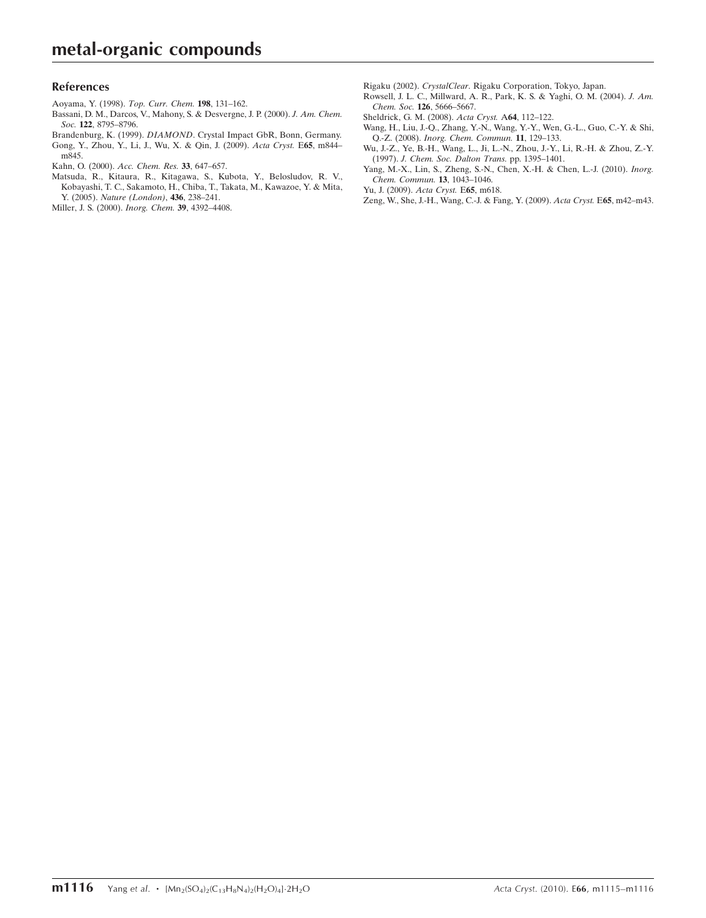### References

- [Aoyama, Y. \(1998\).](https://scripts.iucr.org/cgi-bin/cr.cgi?rm=pdfbb&cnor=hy2338&bbid=BB1) Top. Curr. Chem. 198, 131–162.
- [Bassani, D. M., Darcos, V., Mahony, S. & Desvergne, J. P. \(2000\).](https://scripts.iucr.org/cgi-bin/cr.cgi?rm=pdfbb&cnor=hy2338&bbid=BB2) J. Am. Chem. Soc. 122[, 8795–8796.](https://scripts.iucr.org/cgi-bin/cr.cgi?rm=pdfbb&cnor=hy2338&bbid=BB2)
- Brandenburg, K. (1999). DIAMOND[. Crystal Impact GbR, Bonn, Germany.](https://scripts.iucr.org/cgi-bin/cr.cgi?rm=pdfbb&cnor=hy2338&bbid=BB3)
- [Gong, Y., Zhou, Y., Li, J., Wu, X. & Qin, J. \(2009\).](https://scripts.iucr.org/cgi-bin/cr.cgi?rm=pdfbb&cnor=hy2338&bbid=BB4) Acta Cryst. E65, m844– [m845.](https://scripts.iucr.org/cgi-bin/cr.cgi?rm=pdfbb&cnor=hy2338&bbid=BB4)
- [Kahn, O. \(2000\).](https://scripts.iucr.org/cgi-bin/cr.cgi?rm=pdfbb&cnor=hy2338&bbid=BB5) Acc. Chem. Res. 33, 647–657.
- [Matsuda, R., Kitaura, R., Kitagawa, S., Kubota, Y., Belosludov, R. V.,](https://scripts.iucr.org/cgi-bin/cr.cgi?rm=pdfbb&cnor=hy2338&bbid=BB6) [Kobayashi, T. C., Sakamoto, H., Chiba, T., Takata, M., Kawazoe, Y. & Mita,](https://scripts.iucr.org/cgi-bin/cr.cgi?rm=pdfbb&cnor=hy2338&bbid=BB6) Y. (2005). [Nature \(London\)](https://scripts.iucr.org/cgi-bin/cr.cgi?rm=pdfbb&cnor=hy2338&bbid=BB6), 436, 238–241.
- [Miller, J. S. \(2000\).](https://scripts.iucr.org/cgi-bin/cr.cgi?rm=pdfbb&cnor=hy2338&bbid=BB7) Inorg. Chem. 39, 4392–4408.

Rigaku (2002). CrystalClear[. Rigaku Corporation, Tokyo, Japan.](https://scripts.iucr.org/cgi-bin/cr.cgi?rm=pdfbb&cnor=hy2338&bbid=BB8)

- [Rowsell, J. L. C., Millward, A. R., Park, K. S. & Yaghi, O. M. \(2004\).](https://scripts.iucr.org/cgi-bin/cr.cgi?rm=pdfbb&cnor=hy2338&bbid=BB9) J. Am. Chem. Soc. 126[, 5666–5667.](https://scripts.iucr.org/cgi-bin/cr.cgi?rm=pdfbb&cnor=hy2338&bbid=BB9)
- [Sheldrick, G. M. \(2008\).](https://scripts.iucr.org/cgi-bin/cr.cgi?rm=pdfbb&cnor=hy2338&bbid=BB10) Acta Cryst. A64, 112–122.
- [Wang, H., Liu, J.-Q., Zhang, Y.-N., Wang, Y.-Y., Wen, G.-L., Guo, C.-Y. & Shi,](https://scripts.iucr.org/cgi-bin/cr.cgi?rm=pdfbb&cnor=hy2338&bbid=BB11) Q.-Z. (2008). [Inorg. Chem. Commun.](https://scripts.iucr.org/cgi-bin/cr.cgi?rm=pdfbb&cnor=hy2338&bbid=BB11) 11, 129–133.
- [Wu, J.-Z., Ye, B.-H., Wang, L., Ji, L.-N., Zhou, J.-Y., Li, R.-H. & Zhou, Z.-Y.](https://scripts.iucr.org/cgi-bin/cr.cgi?rm=pdfbb&cnor=hy2338&bbid=BB12) (1997). [J. Chem. Soc. Dalton Trans.](https://scripts.iucr.org/cgi-bin/cr.cgi?rm=pdfbb&cnor=hy2338&bbid=BB12) pp. 1395–1401.
- [Yang, M.-X., Lin, S., Zheng, S.-N., Chen, X.-H. & Chen, L.-J. \(2010\).](https://scripts.iucr.org/cgi-bin/cr.cgi?rm=pdfbb&cnor=hy2338&bbid=BB13) Inorg. [Chem. Commun.](https://scripts.iucr.org/cgi-bin/cr.cgi?rm=pdfbb&cnor=hy2338&bbid=BB13) 13, 1043–1046.
- [Yu, J. \(2009\).](https://scripts.iucr.org/cgi-bin/cr.cgi?rm=pdfbb&cnor=hy2338&bbid=BB14) Acta Cryst. E65, m618.
- [Zeng, W., She, J.-H., Wang, C.-J. & Fang, Y. \(2009\).](https://scripts.iucr.org/cgi-bin/cr.cgi?rm=pdfbb&cnor=hy2338&bbid=BB15) Acta Cryst. E65, m42–m43.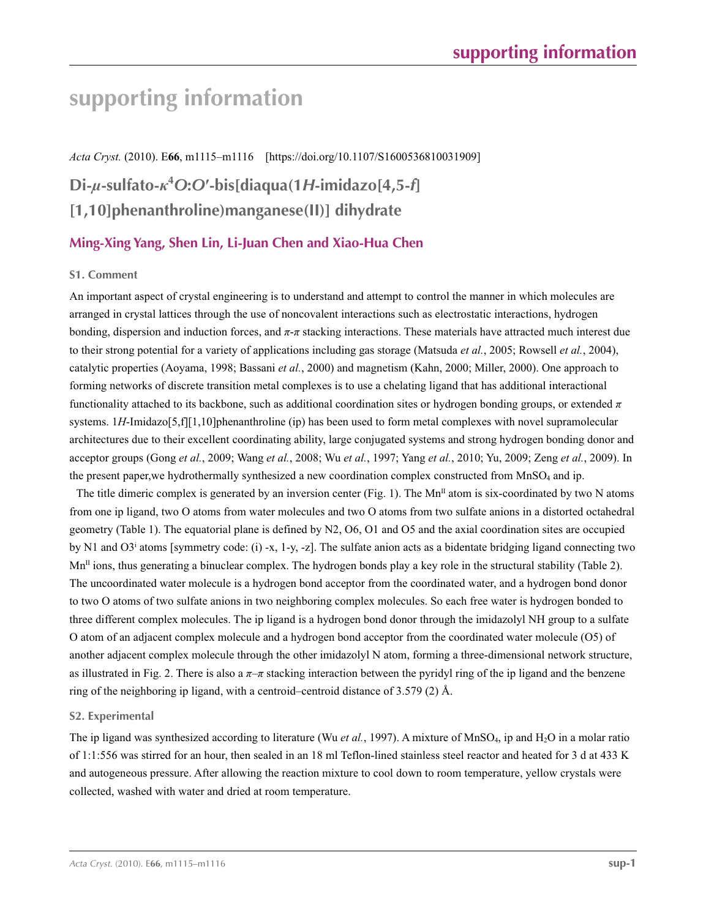# **supporting information**

*Acta Cryst.* (2010). E**66**, m1115–m1116 [https://doi.org/10.1107/S1600536810031909]

## **Di-***µ***-sulfato-***κ***<sup>4</sup>** *O***:***O***′-bis[diaqua(1***H***-imidazo[4,5-***f***] [1,10]phenanthroline)manganese(II)] dihydrate**

## **Ming-Xing Yang, Shen Lin, Li-Juan Chen and Xiao-Hua Chen**

### **S1. Comment**

An important aspect of crystal engineering is to understand and attempt to control the manner in which molecules are arranged in crystal lattices through the use of noncovalent interactions such as electrostatic interactions, hydrogen bonding, dispersion and induction forces, and  $\pi$ - $\pi$  stacking interactions. These materials have attracted much interest due to their strong potential for a variety of applications including gas storage (Matsuda *et al.*, 2005; Rowsell *et al.*, 2004), catalytic properties (Aoyama, 1998; Bassani *et al.*, 2000) and magnetism (Kahn, 2000; Miller, 2000). One approach to forming networks of discrete transition metal complexes is to use a chelating ligand that has additional interactional functionality attached to its backbone, such as additional coordination sites or hydrogen bonding groups, or extended *π* systems. 1*H*-Imidazo[5,f][1,10]phenanthroline (ip) has been used to form metal complexes with novel supramolecular architectures due to their excellent coordinating ability, large conjugated systems and strong hydrogen bonding donor and acceptor groups (Gong *et al.*, 2009; Wang *et al.*, 2008; Wu *et al.*, 1997; Yang *et al.*, 2010; Yu, 2009; Zeng *et al.*, 2009). In the present paper, we hydrothermally synthesized a new coordination complex constructed from MnSO<sub>4</sub> and ip.

The title dimeric complex is generated by an inversion center (Fig. 1). The  $Mn<sup>II</sup>$  atom is six-coordinated by two N atoms from one ip ligand, two O atoms from water molecules and two O atoms from two sulfate anions in a distorted octahedral geometry (Table 1). The equatorial plane is defined by N2, O6, O1 and O5 and the axial coordination sites are occupied by N1 and O3<sup>i</sup> atoms [symmetry code: (i) -x, 1-y, -z]. The sulfate anion acts as a bidentate bridging ligand connecting two  $Mn<sup>II</sup>$  ions, thus generating a binuclear complex. The hydrogen bonds play a key role in the structural stability (Table 2). The uncoordinated water molecule is a hydrogen bond acceptor from the coordinated water, and a hydrogen bond donor to two O atoms of two sulfate anions in two neighboring complex molecules. So each free water is hydrogen bonded to three different complex molecules. The ip ligand is a hydrogen bond donor through the imidazolyl NH group to a sulfate O atom of an adjacent complex molecule and a hydrogen bond acceptor from the coordinated water molecule (O5) of another adjacent complex molecule through the other imidazolyl N atom, forming a three-dimensional network structure, as illustrated in Fig. 2. There is also a *π*–*π* stacking interaction between the pyridyl ring of the ip ligand and the benzene ring of the neighboring ip ligand, with a centroid–centroid distance of 3.579 (2) Å.

### **S2. Experimental**

The ip ligand was synthesized according to literature (Wu *et al.*, 1997). A mixture of MnSO4, ip and H2O in a molar ratio of 1:1:556 was stirred for an hour, then sealed in an 18 ml Teflon-lined stainless steel reactor and heated for 3 d at 433 K and autogeneous pressure. After allowing the reaction mixture to cool down to room temperature, yellow crystals were collected, washed with water and dried at room temperature.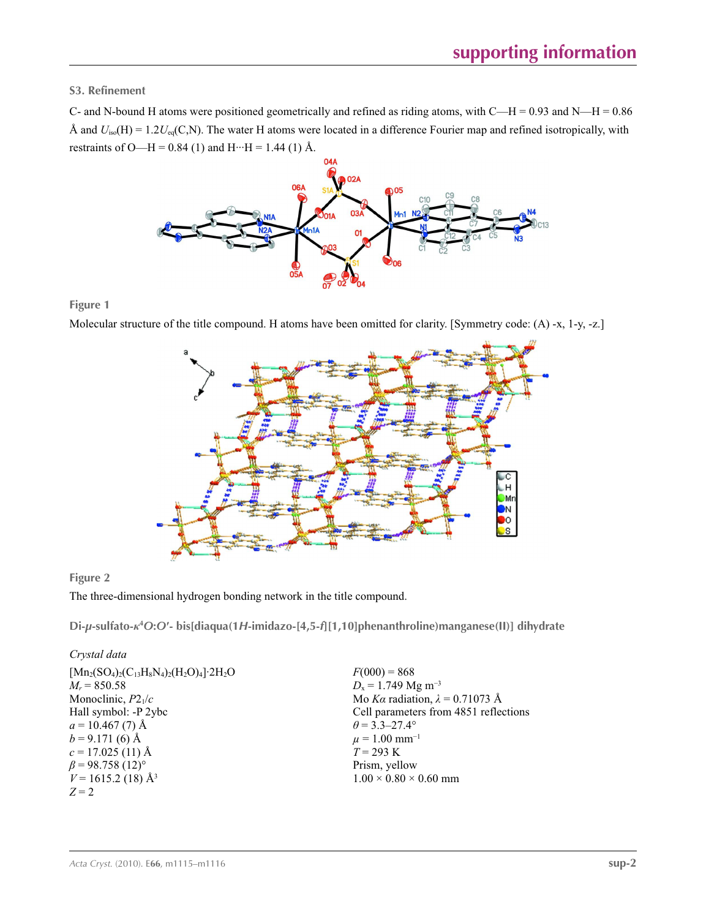**S3. Refinement** 

C- and N-bound H atoms were positioned geometrically and refined as riding atoms, with  $C-H = 0.93$  and N—H = 0.86 Å and  $U_{iso}(H) = 1.2U_{eq}(C, N)$ . The water H atoms were located in a difference Fourier map and refined isotropically, with restraints of O—H = 0.84 (1) and H···H = 1.44 (1) Å.



**Figure 1**

Molecular structure of the title compound. H atoms have been omitted for clarity. [Symmetry code: (A) -x, 1-y, -z.]



### **Figure 2**

The three-dimensional hydrogen bonding network in the title compound.

**Di-***µ***-sulfato-***κ***<sup>4</sup>** *O***:***O***′- bis[diaqua(1***H***-imidazo-[4,5-***f***][1,10]phenanthroline)manganese(II)] dihydrate** 

| Crystal data |
|--------------|
|              |

| $F(000) = 868$                         |
|----------------------------------------|
| $D_x = 1.749$ Mg m <sup>-3</sup>       |
| Mo Ka radiation, $\lambda = 0.71073$ Å |
| Cell parameters from 4851 reflections  |
| $\theta$ = 3.3–27.4°                   |
| $\mu = 1.00$ mm <sup>-1</sup>          |
| $T = 293 \text{ K}$                    |
| Prism, yellow                          |
| $1.00 \times 0.80 \times 0.60$ mm      |
|                                        |
|                                        |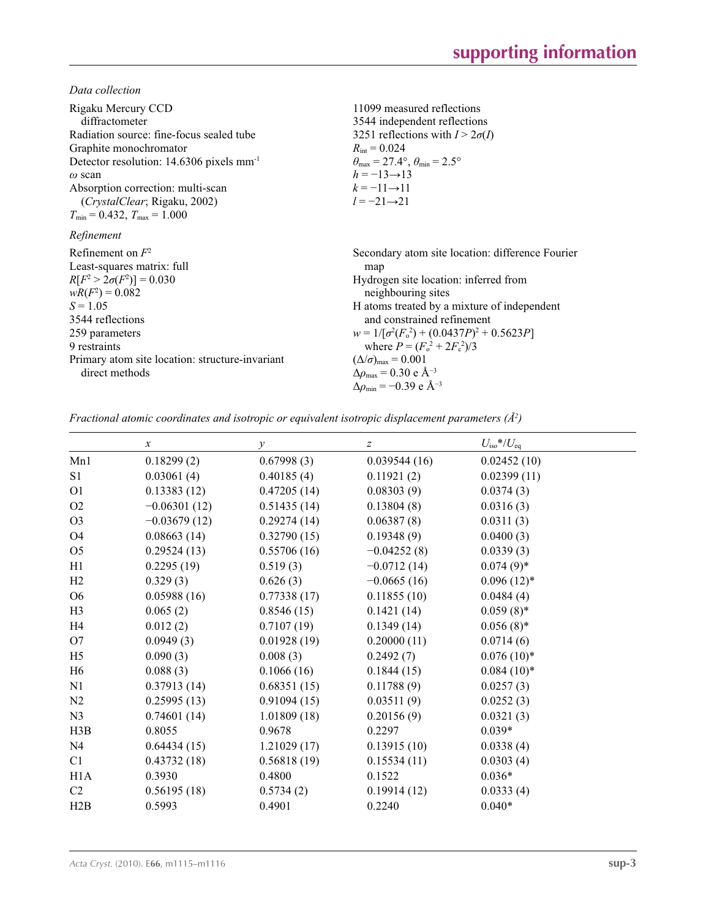*Data collection*

| Rigaku Mercury CCD<br>diffractometer<br>Radiation source: fine-focus sealed tube<br>Graphite monochromator<br>Detector resolution: $14.6306$ pixels mm <sup>-1</sup><br>$\omega$ scan<br>Absorption correction: multi-scan<br>(CrystalClear; Rigaku, 2002)<br>$T_{\text{min}} = 0.432$ , $T_{\text{max}} = 1.000$ | 11099 measured reflections<br>3544 independent reflections<br>3251 reflections with $I > 2\sigma(I)$<br>$R_{\text{int}} = 0.024$<br>$\theta_{\text{max}} = 27.4^{\circ}, \theta_{\text{min}} = 2.5^{\circ}$<br>$h = -13 \rightarrow 13$<br>$k = -11 \rightarrow 11$<br>$l = -21 \rightarrow 21$                                                                                                                                                |
|-------------------------------------------------------------------------------------------------------------------------------------------------------------------------------------------------------------------------------------------------------------------------------------------------------------------|------------------------------------------------------------------------------------------------------------------------------------------------------------------------------------------------------------------------------------------------------------------------------------------------------------------------------------------------------------------------------------------------------------------------------------------------|
| Refinement                                                                                                                                                                                                                                                                                                        |                                                                                                                                                                                                                                                                                                                                                                                                                                                |
| Refinement on $F^2$<br>Least-squares matrix: full<br>$R[F^2 > 2\sigma(F^2)] = 0.030$<br>$wR(F^2) = 0.082$<br>$S = 1.05$<br>3544 reflections<br>259 parameters<br>9 restraints<br>Primary atom site location: structure-invariant<br>direct methods                                                                | Secondary atom site location: difference Fourier<br>map<br>Hydrogen site location: inferred from<br>neighbouring sites<br>H atoms treated by a mixture of independent<br>and constrained refinement<br>$w = 1/[\sigma^2(F_0^2) + (0.0437P)^2 + 0.5623P]$<br>where $P = (F_0^2 + 2F_c^2)/3$<br>$(\Delta/\sigma)_{\text{max}} = 0.001$<br>$\Delta\rho_{\text{max}}$ = 0.30 e Å <sup>-3</sup><br>$\Delta\rho_{\rm min}$ = -0.39 e Å <sup>-3</sup> |

*Fractional atomic coordinates and isotropic or equivalent isotropic displacement parameters (Å<sup>2</sup>)* 

|                  | $\boldsymbol{x}$ | $\mathcal{Y}$ | $\boldsymbol{Z}$ | $U_{\rm iso}$ */ $U_{\rm eq}$ |  |
|------------------|------------------|---------------|------------------|-------------------------------|--|
| Mn1              | 0.18299(2)       | 0.67998(3)    | 0.039544(16)     | 0.02452(10)                   |  |
| S <sub>1</sub>   | 0.03061(4)       | 0.40185(4)    | 0.11921(2)       | 0.02399(11)                   |  |
| O <sub>1</sub>   | 0.13383(12)      | 0.47205(14)   | 0.08303(9)       | 0.0374(3)                     |  |
| O2               | $-0.06301(12)$   | 0.51435(14)   | 0.13804(8)       | 0.0316(3)                     |  |
| O <sub>3</sub>   | $-0.03679(12)$   | 0.29274(14)   | 0.06387(8)       | 0.0311(3)                     |  |
| <b>O4</b>        | 0.08663(14)      | 0.32790(15)   | 0.19348(9)       | 0.0400(3)                     |  |
| O <sub>5</sub>   | 0.29524(13)      | 0.55706(16)   | $-0.04252(8)$    | 0.0339(3)                     |  |
| H1               | 0.2295(19)       | 0.519(3)      | $-0.0712(14)$    | $0.074(9)$ *                  |  |
| H2               | 0.329(3)         | 0.626(3)      | $-0.0665(16)$    | $0.096(12)^*$                 |  |
| O <sub>6</sub>   | 0.05988(16)      | 0.77338(17)   | 0.11855(10)      | 0.0484(4)                     |  |
| H <sub>3</sub>   | 0.065(2)         | 0.8546(15)    | 0.1421(14)       | $0.059(8)$ *                  |  |
| H4               | 0.012(2)         | 0.7107(19)    | 0.1349(14)       | $0.056(8)$ *                  |  |
| O7               | 0.0949(3)        | 0.01928(19)   | 0.20000(11)      | 0.0714(6)                     |  |
| H <sub>5</sub>   | 0.090(3)         | 0.008(3)      | 0.2492(7)        | $0.076(10)*$                  |  |
| H <sub>6</sub>   | 0.088(3)         | 0.1066(16)    | 0.1844(15)       | $0.084(10)*$                  |  |
| N1               | 0.37913(14)      | 0.68351(15)   | 0.11788(9)       | 0.0257(3)                     |  |
| N <sub>2</sub>   | 0.25995(13)      | 0.91094(15)   | 0.03511(9)       | 0.0252(3)                     |  |
| N <sub>3</sub>   | 0.74601(14)      | 1.01809(18)   | 0.20156(9)       | 0.0321(3)                     |  |
| H3B              | 0.8055           | 0.9678        | 0.2297           | $0.039*$                      |  |
| N <sub>4</sub>   | 0.64434(15)      | 1.21029(17)   | 0.13915(10)      | 0.0338(4)                     |  |
| C1               | 0.43732(18)      | 0.56818(19)   | 0.15534(11)      | 0.0303(4)                     |  |
| H <sub>1</sub> A | 0.3930           | 0.4800        | 0.1522           | $0.036*$                      |  |
| C <sub>2</sub>   | 0.56195(18)      | 0.5734(2)     | 0.19914(12)      | 0.0333(4)                     |  |
| H2B              | 0.5993           | 0.4901        | 0.2240           | $0.040*$                      |  |
|                  |                  |               |                  |                               |  |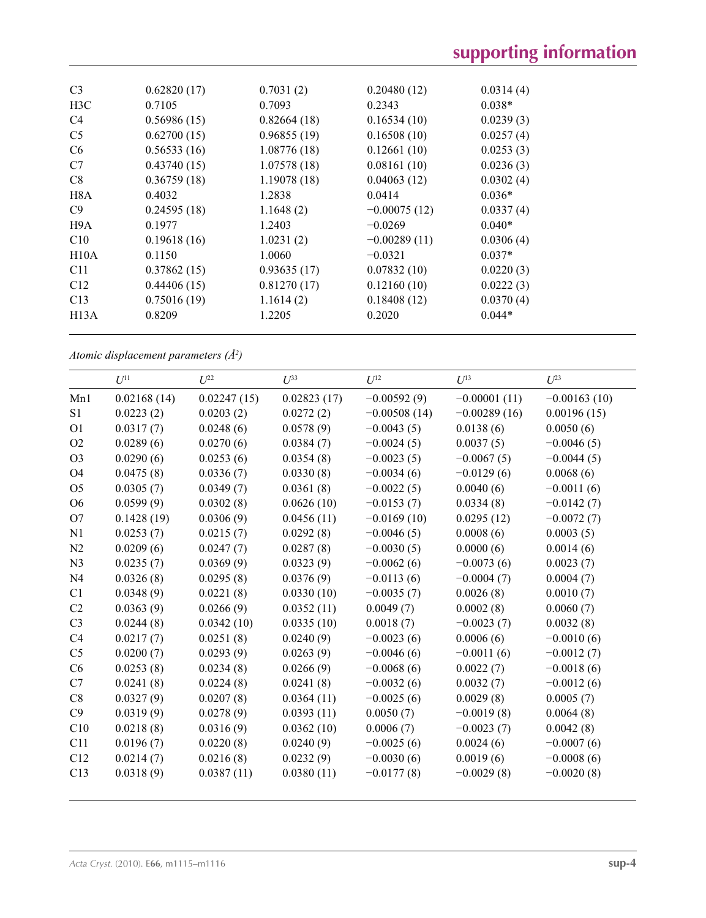| C <sub>3</sub> | 0.62820(17) | 0.7031(2)   | 0.20480(12)    | 0.0314(4) |  |
|----------------|-------------|-------------|----------------|-----------|--|
| H3C            | 0.7105      | 0.7093      | 0.2343         | $0.038*$  |  |
| C4             | 0.56986(15) | 0.82664(18) | 0.16534(10)    | 0.0239(3) |  |
| C <sub>5</sub> | 0.62700(15) | 0.96855(19) | 0.16508(10)    | 0.0257(4) |  |
| C <sub>6</sub> | 0.56533(16) | 1.08776(18) | 0.12661(10)    | 0.0253(3) |  |
| C7             | 0.43740(15) | 1.07578(18) | 0.08161(10)    | 0.0236(3) |  |
| C8             | 0.36759(18) | 1.19078(18) | 0.04063(12)    | 0.0302(4) |  |
| H8A            | 0.4032      | 1.2838      | 0.0414         | $0.036*$  |  |
| C9             | 0.24595(18) | 1.1648(2)   | $-0.00075(12)$ | 0.0337(4) |  |
| H9A            | 0.1977      | 1.2403      | $-0.0269$      | $0.040*$  |  |
| C10            | 0.19618(16) | 1.0231(2)   | $-0.00289(11)$ | 0.0306(4) |  |
| H10A           | 0.1150      | 1.0060      | $-0.0321$      | $0.037*$  |  |
| C11            | 0.37862(15) | 0.93635(17) | 0.07832(10)    | 0.0220(3) |  |
| C12            | 0.44406(15) | 0.81270(17) | 0.12160(10)    | 0.0222(3) |  |
| C13            | 0.75016(19) | 1.1614(2)   | 0.18408(12)    | 0.0370(4) |  |
| H13A           | 0.8209      | 1.2205      | 0.2020         | $0.044*$  |  |
|                |             |             |                |           |  |

*Atomic displacement parameters (Å2 )*

|                | $U^{11}$    | $U^{22}$    | $U^{33}$    | $U^{12}$       | $U^{13}$       | $U^{23}$       |
|----------------|-------------|-------------|-------------|----------------|----------------|----------------|
| Mn1            | 0.02168(14) | 0.02247(15) | 0.02823(17) | $-0.00592(9)$  | $-0.00001(11)$ | $-0.00163(10)$ |
| S <sub>1</sub> |             |             |             |                | $-0.00289(16)$ |                |
|                | 0.0223(2)   | 0.0203(2)   | 0.0272(2)   | $-0.00508(14)$ |                | 0.00196(15)    |
| O <sub>1</sub> | 0.0317(7)   | 0.0248(6)   | 0.0578(9)   | $-0.0043(5)$   | 0.0138(6)      | 0.0050(6)      |
| O <sub>2</sub> | 0.0289(6)   | 0.0270(6)   | 0.0384(7)   | $-0.0024(5)$   | 0.0037(5)      | $-0.0046(5)$   |
| O <sub>3</sub> | 0.0290(6)   | 0.0253(6)   | 0.0354(8)   | $-0.0023(5)$   | $-0.0067(5)$   | $-0.0044(5)$   |
| O4             | 0.0475(8)   | 0.0336(7)   | 0.0330(8)   | $-0.0034(6)$   | $-0.0129(6)$   | 0.0068(6)      |
| O <sub>5</sub> | 0.0305(7)   | 0.0349(7)   | 0.0361(8)   | $-0.0022(5)$   | 0.0040(6)      | $-0.0011(6)$   |
| O <sub>6</sub> | 0.0599(9)   | 0.0302(8)   | 0.0626(10)  | $-0.0153(7)$   | 0.0334(8)      | $-0.0142(7)$   |
| O7             | 0.1428(19)  | 0.0306(9)   | 0.0456(11)  | $-0.0169(10)$  | 0.0295(12)     | $-0.0072(7)$   |
| N <sub>1</sub> | 0.0253(7)   | 0.0215(7)   | 0.0292(8)   | $-0.0046(5)$   | 0.0008(6)      | 0.0003(5)      |
| N2             | 0.0209(6)   | 0.0247(7)   | 0.0287(8)   | $-0.0030(5)$   | 0.0000(6)      | 0.0014(6)      |
| N <sub>3</sub> | 0.0235(7)   | 0.0369(9)   | 0.0323(9)   | $-0.0062(6)$   | $-0.0073(6)$   | 0.0023(7)      |
| N <sub>4</sub> | 0.0326(8)   | 0.0295(8)   | 0.0376(9)   | $-0.0113(6)$   | $-0.0004(7)$   | 0.0004(7)      |
| C1             | 0.0348(9)   | 0.0221(8)   | 0.0330(10)  | $-0.0035(7)$   | 0.0026(8)      | 0.0010(7)      |
| C <sub>2</sub> | 0.0363(9)   | 0.0266(9)   | 0.0352(11)  | 0.0049(7)      | 0.0002(8)      | 0.0060(7)      |
| C <sub>3</sub> | 0.0244(8)   | 0.0342(10)  | 0.0335(10)  | 0.0018(7)      | $-0.0023(7)$   | 0.0032(8)      |
| C <sub>4</sub> | 0.0217(7)   | 0.0251(8)   | 0.0240(9)   | $-0.0023(6)$   | 0.0006(6)      | $-0.0010(6)$   |
| C <sub>5</sub> | 0.0200(7)   | 0.0293(9)   | 0.0263(9)   | $-0.0046(6)$   | $-0.0011(6)$   | $-0.0012(7)$   |
| C6             | 0.0253(8)   | 0.0234(8)   | 0.0266(9)   | $-0.0068(6)$   | 0.0022(7)      | $-0.0018(6)$   |
| C7             | 0.0241(8)   | 0.0224(8)   | 0.0241(8)   | $-0.0032(6)$   | 0.0032(7)      | $-0.0012(6)$   |
| C8             | 0.0327(9)   | 0.0207(8)   | 0.0364(11)  | $-0.0025(6)$   | 0.0029(8)      | 0.0005(7)      |
| C9             | 0.0319(9)   | 0.0278(9)   | 0.0393(11)  | 0.0050(7)      | $-0.0019(8)$   | 0.0064(8)      |
| C10            | 0.0218(8)   | 0.0316(9)   | 0.0362(10)  | 0.0006(7)      | $-0.0023(7)$   | 0.0042(8)      |
| C11            | 0.0196(7)   | 0.0220(8)   | 0.0240(9)   | $-0.0025(6)$   | 0.0024(6)      | $-0.0007(6)$   |
| C12            | 0.0214(7)   | 0.0216(8)   | 0.0232(9)   | $-0.0030(6)$   | 0.0019(6)      | $-0.0008(6)$   |
| C13            | 0.0318(9)   | 0.0387(11)  | 0.0380(11)  | $-0.0177(8)$   | $-0.0029(8)$   | $-0.0020(8)$   |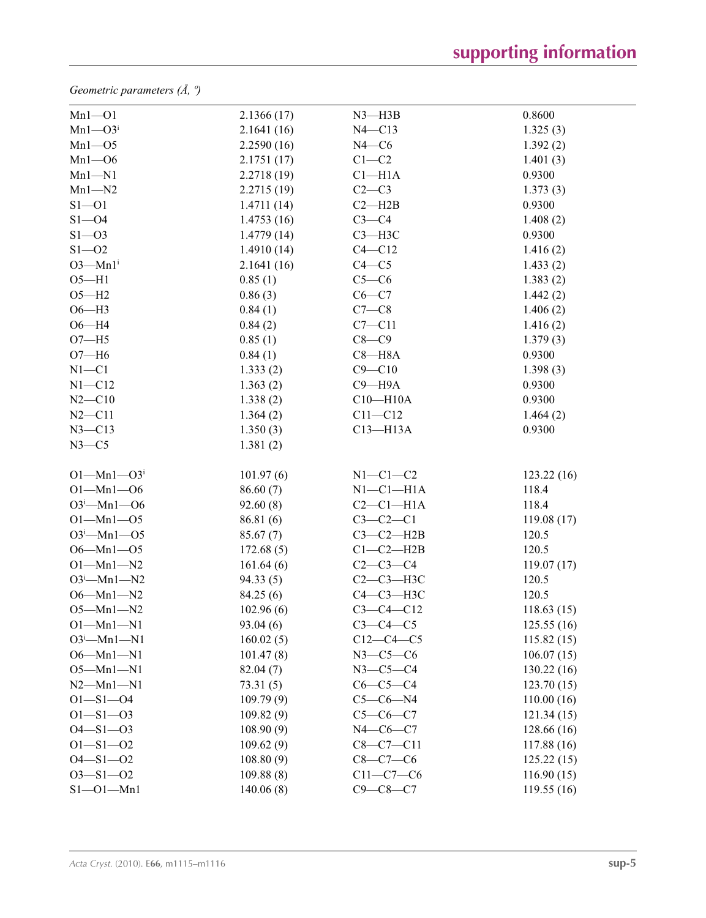*Geometric parameters (Å, º)*

| $Mn1 - 01$                   | 2.1366(17) | $N3$ —H $3B$    | 0.8600     |
|------------------------------|------------|-----------------|------------|
| $Mn1 - O3i$                  | 2.1641(16) | $N4 - C13$      | 1.325(3)   |
| $Mn1 - 05$                   | 2.2590(16) | $N4$ —C6        | 1.392(2)   |
| $Mn1 - 06$                   | 2.1751(17) | $C1-C2$         | 1.401(3)   |
| $Mn1 - N1$                   | 2.2718(19) | $Cl-H1A$        | 0.9300     |
| $Mn1 - N2$                   | 2.2715(19) | $C2-C3$         | 1.373(3)   |
| $S1 - 01$                    | 1.4711(14) | $C2 - H2B$      | 0.9300     |
| $S1 - 04$                    | 1.4753(16) | $C3-C4$         | 1.408(2)   |
| $S1 - 03$                    | 1.4779(14) | $C3 - H3C$      | 0.9300     |
| $S1 - 02$                    | 1.4910(14) | $C4 - C12$      | 1.416(2)   |
| $O3$ —Mn $1i$                | 2.1641(16) | $C4 - C5$       | 1.433(2)   |
| $O5 - H1$                    | 0.85(1)    | $C5-C6$         | 1.383(2)   |
| $O5 - H2$                    | 0.86(3)    | $C6 - C7$       | 1.442(2)   |
| $O6 - H3$                    | 0.84(1)    | $C7-C8$         | 1.406(2)   |
| $O6 - H4$                    | 0.84(2)    | $C7 - C11$      | 1.416(2)   |
| $O7 - H5$                    | 0.85(1)    | $C8-C9$         | 1.379(3)   |
| $O7 - H6$                    | 0.84(1)    | $C8 - H8A$      | 0.9300     |
| $N1 - C1$                    | 1.333(2)   | $C9 - C10$      | 1.398(3)   |
| $N1 - C12$                   | 1.363(2)   | $C9 - H9A$      | 0.9300     |
| $N2 - C10$                   | 1.338(2)   | $C10 - H10A$    | 0.9300     |
| $N2 - C11$                   | 1.364(2)   | $C11 - C12$     | 1.464(2)   |
| $N3 - C13$                   | 1.350(3)   | $C13 - H13A$    | 0.9300     |
| $N3-C5$                      | 1.381(2)   |                 |            |
| $O1 - Mn1 - O3$ <sup>i</sup> | 101.97(6)  | $N1-C1-C2$      | 123.22(16) |
| $O1 - Mn1 - O6$              | 86.60(7)   | $N1-C1-H1A$     | 118.4      |
| $O3^i$ -Mn1- $O6$            | 92.60(8)   | $C2-C1-H1A$     | 118.4      |
| $O1 - Mn1 - O5$              | 86.81 (6)  | $C3-C2-C1$      | 119.08(17) |
| $O3^i$ -Mn1- $O5$            | 85.67(7)   | $C3-C2-H2B$     | 120.5      |
| $O6 - Mn1 - O5$              | 172.68(5)  | $C1-C2-H2B$     | 120.5      |
| $O1 - Mn1 - N2$              | 161.64(6)  | $C2-C3-C4$      | 119.07(17) |
| $O3^i$ -Mn1-N2               | 94.33(5)   | $C2-C3-H3C$     | 120.5      |
| $O6 - Mn1 - N2$              | 84.25(6)   | С4-С3-Н3С       | 120.5      |
| $O5 - Mn1 - N2$              | 102.96(6)  | $C3 - C4 - C12$ | 118.63(15) |
| $O1 - Mn1 - N1$              | 93.04(6)   | $C3-C4-C5$      | 125.55(16) |
| $O3^i$ -Mn1-N1               | 160.02(5)  | $C12-C4-C5$     | 115.82(15) |
| $O6 - Mn1 - N1$              | 101.47(8)  | $N3-C5-C6$      | 106.07(15) |
| $O5 - Mn1 - N1$              | 82.04(7)   | $N3-C5-C4$      | 130.22(16) |
| $N2-Mn1-N1$                  | 73.31(5)   | $C6-C5-C4$      | 123.70(15) |
| $O1 - S1 - O4$               | 109.79(9)  | $C5-C6-N4$      | 110.00(16) |
| $O1 - S1 - O3$               | 109.82(9)  | $C5-C6-C7$      | 121.34(15) |
| $O4 - S1 - O3$               | 108.90(9)  | $N4-C6-C7$      | 128.66(16) |
| $O1 - S1 - O2$               | 109.62(9)  | $C8 - C7 - C11$ | 117.88(16) |
| $O4 - S1 - O2$               | 108.80(9)  | $C8-C7-C6$      | 125.22(15) |
| $O3 - S1 - O2$               | 109.88(8)  | $C11-C7-C6$     | 116.90(15) |
| $S1 - 01 - Mn1$              | 140.06(8)  | $C9 - C8 - C7$  | 119.55(16) |